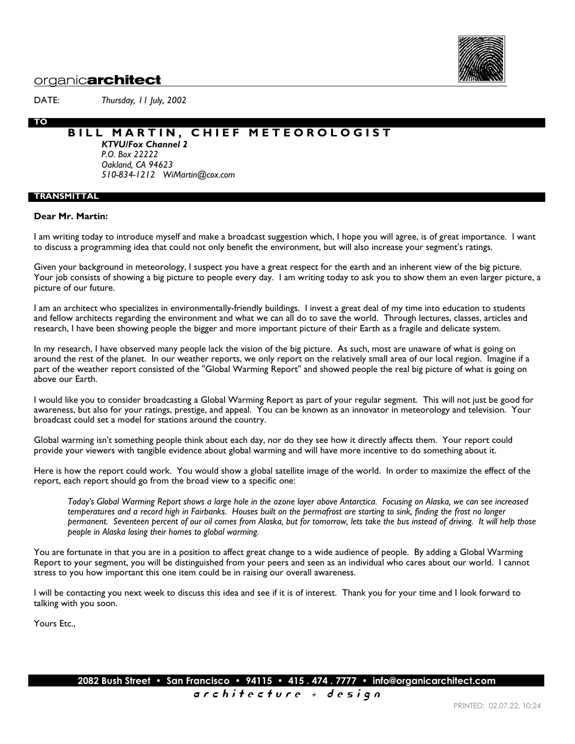

## organic**architect**

DATE: *Thursday, 11 July, 2002*

## **BILL MARTIN, CHIEF METEOROLOGIST**

*KTVU/Fox Channel 2 P.O. Box 22222 Oakland, CA 94623 510-834-1212 WiMartin@cox.com*

## **TRANSMITTAL**

**TO**

### **Dear Mr. Martin:**

I am writing today to introduce myself and make a broadcast suggestion which, I hope you will agree, is of great importance. I want to discuss a programming idea that could not only benefit the environment, but will also increase your segment's ratings.

Given your background in meteorology, I suspect you have a great respect for the earth and an inherent view of the big picture. Your job consists of showing a big picture to people every day. I am writing today to ask you to show them an even larger picture, a picture of our future.

I am an architect who specializes in environmentally-friendly buildings. I invest a great deal of my time into education to students and fellow architects regarding the environment and what we can all do to save the world. Through lectures, classes, articles and research, I have been showing people the bigger and more important picture of their Earth as a fragile and delicate system.

In my research, I have observed many people lack the vision of the big picture. As such, most are unaware of what is going on around the rest of the planet. In our weather reports, we only report on the relatively small area of our local region. Imagine if a part of the weather report consisted of the "Global Warming Report" and showed people the real big picture of what is going on above our Earth.

I would like you to consider broadcasting a Global Warming Report as part of your regular segment. This will not just be good for awareness, but also for your ratings, prestige, and appeal. You can be known as an innovator in meteorology and television. Your broadcast could set a model for stations around the country.

Global warming isn't something people think about each day, nor do they see how it directly affects them. Your report could provide your viewers with tangible evidence about global warming and will have more incentive to do something about it.

Here is how the report could work. You would show a global satellite image of the world. In order to maximize the effect of the report, each report should go from the broad view to a specific one:

*Today's Global Warming Report shows a large hole in the ozone layer above Antarctica. Focusing on Alaska, we can see increased temperatures and a record high in Fairbanks. Houses built on the permafrost are starting to sink, finding the frost no longer permanent. Seventeen percent of our oil comes from Alaska, but for tomorrow, lets take the bus instead of driving. It will help those people in Alaska losing their homes to global warming.*

You are fortunate in that you are in a position to affect great change to a wide audience of people. By adding a Global Warming Report to your segment, you will be distinguished from your peers and seen as an individual who cares about our world. I cannot stress to you how important this one item could be in raising our overall awareness.

I will be contacting you next week to discuss this idea and see if it is of interest. Thank you for your time and I look forward to talking with you soon.

Yours Etc.,

**2082 Bush Street • San Francisco • 94115 • 415 . 474 . 7777 • info@organicarchitect.com**